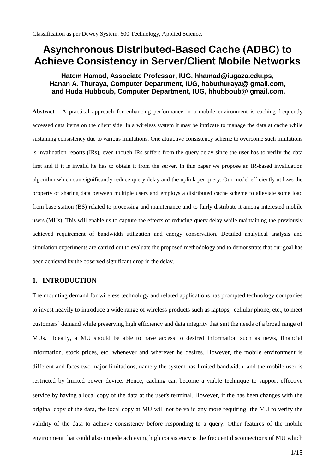# **Asynchronous Distributed-Based Cache (ADBC) to Achieve Consistency in Server/Client Mobile Networks**

# **Hatem Hamad, Associate Professor, IUG, hhamad@iugaza.edu.ps, Hanan A. Thuraya, Computer Department, IUG, habuthuraya@ gmail.com, and Huda Hubboub, Computer Department, IUG, hhubboub@ gmail.com.**

**Abstract -** A practical approach for enhancing performance in a mobile environment is caching frequently accessed data items on the client side. In a wireless system it may be intricate to manage the data at cache while sustaining consistency due to various limitations. One attractive consistency scheme to overcome such limitations is invalidation reports (IRs), even though IRs suffers from the query delay since the user has to verify the data first and if it is invalid he has to obtain it from the server. In this paper we propose an IR-based invalidation algorithm which can significantly reduce query delay and the uplink per query. Our model efficiently utilizes the property of sharing data between multiple users and employs a distributed cache scheme to alleviate some load from base station (BS) related to processing and maintenance and to fairly distribute it among interested mobile users (MUs). This will enable us to capture the effects of reducing query delay while maintaining the previously achieved requirement of bandwidth utilization and energy conservation. Detailed analytical analysis and simulation experiments are carried out to evaluate the proposed methodology and to demonstrate that our goal has been achieved by the observed significant drop in the delay.

## **1. INTRODUCTION**

The mounting demand for wireless technology and related applications has prompted technology companies to invest heavily to introduce a wide range of wireless products such as laptops, cellular phone, etc., to meet customers' demand while preserving high efficiency and data integrity that suit the needs of a broad range of MUs. Ideally, a MU should be able to have access to desired information such as news, financial information, stock prices, etc. whenever and wherever he desires. However, the mobile environment is different and faces two major limitations, namely the system has limited bandwidth, and the mobile user is restricted by limited power device. Hence, caching can become a viable technique to support effective service by having a local copy of the data at the user's terminal. However, if the has been changes with the original copy of the data, the local copy at MU will not be valid any more requiring the MU to verify the validity of the data to achieve consistency before responding to a query. Other features of the mobile environment that could also impede achieving high consistency is the frequent disconnections of MU which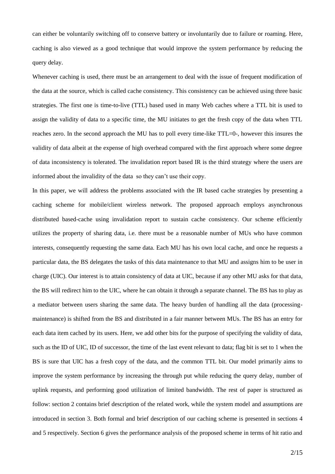can either be voluntarily switching off to conserve battery or involuntarily due to failure or roaming. Here, caching is also viewed as a good technique that would improve the system performance by reducing the query delay.

Whenever caching is used, there must be an arrangement to deal with the issue of frequent modification of the data at the source, which is called cache consistency. This consistency can be achieved using three basic strategies. The first one is time-to-live (TTL) based used in many Web caches where a TTL bit is used to assign the validity of data to a specific time, the MU initiates to get the fresh copy of the data when TTL reaches zero. In the second approach the MU has to poll every time-like TTL=0-, however this insures the validity of data albeit at the expense of high overhead compared with the first approach where some degree of data inconsistency is tolerated. The invalidation report based IR is the third strategy where the users are informed about the invalidity of the data so they can't use their copy.

In this paper, we will address the problems associated with the IR based cache strategies by presenting a caching scheme for mobile/client wireless network. The proposed approach employs asynchronous distributed based-cache using invalidation report to sustain cache consistency. Our scheme efficiently utilizes the property of sharing data, i.e. there must be a reasonable number of MUs who have common interests, consequently requesting the same data. Each MU has his own local cache, and once he requests a particular data, the BS delegates the tasks of this data maintenance to that MU and assigns him to be user in charge (UIC). Our interest is to attain consistency of data at UIC, because if any other MU asks for that data, the BS will redirect him to the UIC, where he can obtain it through a separate channel. The BS has to play as a mediator between users sharing the same data. The heavy burden of handling all the data (processingmaintenance) is shifted from the BS and distributed in a fair manner between MUs. The BS has an entry for each data item cached by its users. Here, we add other bits for the purpose of specifying the validity of data, such as the ID of UIC, ID of successor, the time of the last event relevant to data; flag bit is set to 1 when the BS is sure that UIC has a fresh copy of the data, and the common TTL bit. Our model primarily aims to improve the system performance by increasing the through put while reducing the query delay, number of uplink requests, and performing good utilization of limited bandwidth. The rest of paper is structured as follow: section 2 contains brief description of the related work, while the system model and assumptions are introduced in section 3. Both formal and brief description of our caching scheme is presented in sections 4 and 5 respectively. Section 6 gives the performance analysis of the proposed scheme in terms of hit ratio and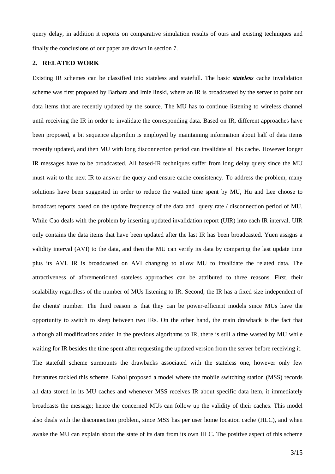query delay, in addition it reports on comparative simulation results of ours and existing techniques and finally the conclusions of our paper are drawn in section 7.

## **2. RELATED WORK**

Existing IR schemes can be classified into stateless and statefull. The basic *stateless* cache invalidation scheme was first proposed by Barbara and Imie linski, where an IR is broadcasted by the server to point out data items that are recently updated by the source. The MU has to continue listening to wireless channel until receiving the IR in order to invalidate the corresponding data. Based on IR, different approaches have been proposed, a bit sequence algorithm is employed by maintaining information about half of data items recently updated, and then MU with long disconnection period can invalidate all his cache. However longer IR messages have to be broadcasted. All based-IR techniques suffer from long delay query since the MU must wait to the next IR to answer the query and ensure cache consistency. To address the problem, many solutions have been suggested in order to reduce the waited time spent by MU, Hu and Lee choose to broadcast reports based on the update frequency of the data and query rate / disconnection period of MU. While Cao deals with the problem by inserting updated invalidation report (UIR) into each IR interval. UIR only contains the data items that have been updated after the last IR has been broadcasted. Yuen assigns a validity interval (AVI) to the data, and then the MU can verify its data by comparing the last update time plus its AVI. IR is broadcasted on AVI changing to allow MU to invalidate the related data. The attractiveness of aforementioned stateless approaches can be attributed to three reasons. First, their scalability regardless of the number of MUs listening to IR. Second, the IR has a fixed size independent of the clients' number. The third reason is that they can be power-efficient models since MUs have the opportunity to switch to sleep between two IRs. On the other hand, the main drawback is the fact that although all modifications added in the previous algorithms to IR, there is still a time wasted by MU while waiting for IR besides the time spent after requesting the updated version from the server before receiving it. The statefull scheme surmounts the drawbacks associated with the stateless one, however only few literatures tackled this scheme. Kahol proposed a model where the mobile switching station (MSS) records all data stored in its MU caches and whenever MSS receives IR about specific data item, it immediately broadcasts the message; hence the concerned MUs can follow up the validity of their caches. This model also deals with the disconnection problem, since MSS has per user home location cache (HLC), and when awake the MU can explain about the state of its data from its own HLC. The positive aspect of this scheme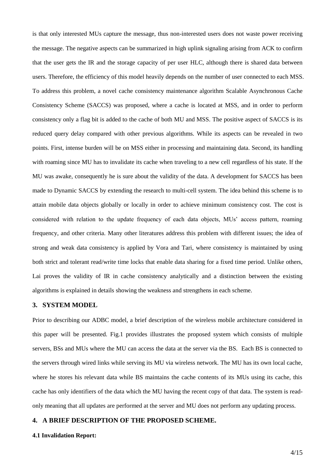is that only interested MUs capture the message, thus non-interested users does not waste power receiving the message. The negative aspects can be summarized in high uplink signaling arising from ACK to confirm that the user gets the IR and the storage capacity of per user HLC, although there is shared data between users. Therefore, the efficiency of this model heavily depends on the number of user connected to each MSS. To address this problem, a novel cache consistency maintenance algorithm Scalable Asynchronous Cache Consistency Scheme (SACCS) was proposed, where a cache is located at MSS, and in order to perform consistency only a flag bit is added to the cache of both MU and MSS. The positive aspect of SACCS is its reduced query delay compared with other previous algorithms. While its aspects can be revealed in two points. First, intense burden will be on MSS either in processing and maintaining data. Second, its handling with roaming since MU has to invalidate its cache when traveling to a new cell regardless of his state. If the MU was awake, consequently he is sure about the validity of the data. A development for SACCS has been made to Dynamic SACCS by extending the research to multi-cell system. The idea behind this scheme is to attain mobile data objects globally or locally in order to achieve minimum consistency cost. The cost is considered with relation to the update frequency of each data objects, MUs' access pattern, roaming frequency, and other criteria. Many other literatures address this problem with different issues; the idea of strong and weak data consistency is applied by Vora and Tari, where consistency is maintained by using both strict and tolerant read/write time locks that enable data sharing for a fixed time period. Unlike others, Lai proves the validity of IR in cache consistency analytically and a distinction between the existing algorithms is explained in details showing the weakness and strengthens in each scheme.

#### **3. SYSTEM MODEL**

Prior to describing our ADBC model, a brief description of the wireless mobile architecture considered in this paper will be presented. Fig.1 provides illustrates the proposed system which consists of multiple servers, BSs and MUs where the MU can access the data at the server via the BS. Each BS is connected to the servers through wired links while serving its MU via wireless network. The MU has its own local cache, where he stores his relevant data while BS maintains the cache contents of its MUs using its cache, this cache has only identifiers of the data which the MU having the recent copy of that data. The system is readonly meaning that all updates are performed at the server and MU does not perform any updating process.

#### **4. A BRIEF DESCRIPTION OF THE PROPOSED SCHEME.**

#### **4.1 Invalidation Report:**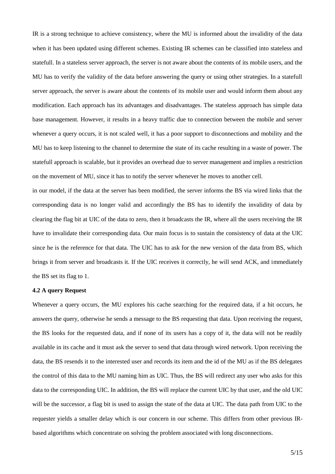IR is a strong technique to achieve consistency, where the MU is informed about the invalidity of the data when it has been updated using different schemes. Existing IR schemes can be classified into stateless and statefull. In a stateless server approach, the server is not aware about the contents of its mobile users, and the MU has to verify the validity of the data before answering the query or using other strategies. In a statefull server approach, the server is aware about the contents of its mobile user and would inform them about any modification. Each approach has its advantages and disadvantages. The stateless approach has simple data base management. However, it results in a heavy traffic due to connection between the mobile and server whenever a query occurs, it is not scaled well, it has a poor support to disconnections and mobility and the MU has to keep listening to the channel to determine the state of its cache resulting in a waste of power. The statefull approach is scalable, but it provides an overhead due to server management and implies a restriction on the movement of MU, since it has to notify the server whenever he moves to another cell.

in our model, if the data at the server has been modified, the server informs the BS via wired links that the corresponding data is no longer valid and accordingly the BS has to identify the invalidity of data by clearing the flag bit at UIC of the data to zero, then it broadcasts the IR, where all the users receiving the IR have to invalidate their corresponding data. Our main focus is to sustain the consistency of data at the UIC since he is the reference for that data. The UIC has to ask for the new version of the data from BS, which brings it from server and broadcasts it. If the UIC receives it correctly, he will send ACK, and immediately the BS set its flag to 1.

#### **4.2 A query Request**

Whenever a query occurs, the MU explores his cache searching for the required data, if a hit occurs, he answers the query, otherwise he sends a message to the BS requesting that data. Upon receiving the request, the BS looks for the requested data, and if none of its users has a copy of it, the data will not be readily available in its cache and it must ask the server to send that data through wired network. Upon receiving the data, the BS resends it to the interested user and records its item and the id of the MU as if the BS delegates the control of this data to the MU naming him as UIC. Thus, the BS will redirect any user who asks for this data to the corresponding UIC. In addition, the BS will replace the current UIC by that user, and the old UIC will be the successor, a flag bit is used to assign the state of the data at UIC. The data path from UIC to the requester yields a smaller delay which is our concern in our scheme. This differs from other previous IRbased algorithms which concentrate on solving the problem associated with long disconnections.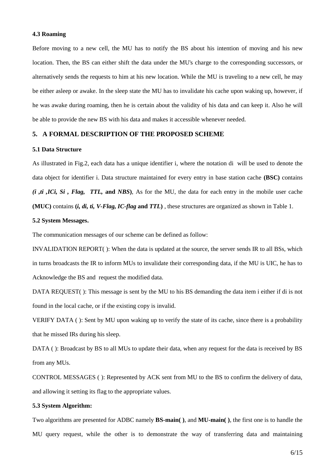#### **4.3 Roaming**

Before moving to a new cell, the MU has to notify the BS about his intention of moving and his new location. Then, the BS can either shift the data under the MU's charge to the corresponding successors, or alternatively sends the requests to him at his new location. While the MU is traveling to a new cell, he may be either asleep or awake. In the sleep state the MU has to invalidate his cache upon waking up, however, if he was awake during roaming, then he is certain about the validity of his data and can keep it. Also he will be able to provide the new BS with his data and makes it accessible whenever needed.

## **5. A FORMAL DESCRIPTION OF THE PROPOSED SCHEME**

#### **5.1 Data Structure**

As illustrated in Fig.2, each data has a unique identifier i, where the notation di will be used to denote the data object for identifier i. Data structure maintained for every entry in base station cache **(BSC)** contains *(i ,ti ,ICi, Si , Flag,**TTL,* **and** *NBS***)**, As for the MU, the data for each entry in the mobile user cache **(MUC)** contains **(***i, di, ti, V-Flag, IC-flag* **and** *TTL***)** , these structures are organized as shown in Table 1.

## **5.2 System Messages.**

The communication messages of our scheme can be defined as follow:

INVALIDATION REPORT( ): When the data is updated at the source, the server sends IR to all BSs, which in turns broadcasts the IR to inform MUs to invalidate their corresponding data, if the MU is UIC, he has to Acknowledge the BS and request the modified data.

DATA REQUEST( ): This message is sent by the MU to his BS demanding the data item i either if di is not found in the local cache, or if the existing copy is invalid.

VERIFY DATA ( ): Sent by MU upon waking up to verify the state of its cache, since there is a probability that he missed IRs during his sleep.

DATA (): Broadcast by BS to all MUs to update their data, when any request for the data is received by BS from any MUs.

CONTROL MESSAGES ( ): Represented by ACK sent from MU to the BS to confirm the delivery of data, and allowing it setting its flag to the appropriate values.

#### **5.3 System Algorithm:**

Two algorithms are presented for ADBC namely **BS-main( )**, and **MU-main( )**, the first one is to handle the MU query request, while the other is to demonstrate the way of transferring data and maintaining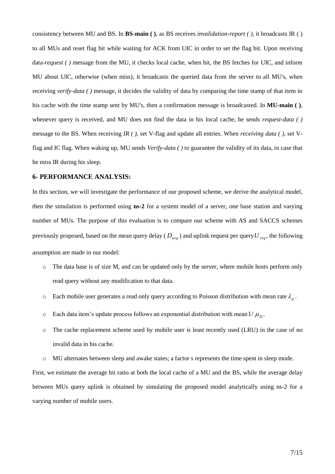consistency between MU and BS. In **BS-main ( )**, as BS receives *invalidation-report ( )*, it broadcasts IR ( ) to all MUs and reset flag bit while waiting for ACK from UIC in order to set the flag bit. Upon receiving data-*request ( )* message from the MU, it checks local cache, when hit, the BS fetches for UIC, and inform MU about UIC, otherwise (when miss), it broadcasts the queried data from the server to all MU's, when receiving *verify-data ( )* message, it decides the validity of data by comparing the time stamp of that item in his cache with the time stamp sent by MU's, then a confirmation message is broadcasted. In **MU-main ( )**, whenever query is received, and MU does not find the data in his local cache, he sends *request-data ( )* message to the BS. When receiving *IR ( )*, set V-flag and update all entries. When *receiving data ( )*, set Vflag and IC flag. When waking up, MU sends *Verify-data ( )* to guarantee the validity of its data, in case that he miss IR during his sleep.

#### **6- PERFORMANCE ANALYSIS:**

In this section, we will investigate the performance of our proposed scheme, we derive the analytical model, then the simulation is performed using **ns-2** for a system model of a server, one base station and varying number of MUs. The purpose of this evaluation is to compare our scheme with AS and SACCS schemes previously proposed, based on the mean query delay ( *Davg* ) and uplink request per query *U req* , the following assumption are made in our model:

- $\circ$  The data base is of size M, and can be updated only by the server, where mobile hosts perform only read query without any modification to that data.
- $\circ$  Each mobile user generates a read only query according to Poisson distribution with mean rate  $\lambda_{g}$ .
- $\circ$  Each data item's update process follows an exponential distribution with mean  $1/\mu_D$ .
- o The cache replacement scheme used by mobile user is least recently used (LRU) in the case of no invalid data in his cache.
- MU alternates between sleep and awake states; a factor s represents the time spent in sleep mode.

First, we estimate the average hit ratio at both the local cache of a MU and the BS, while the average delay between MUs query uplink is obtained by simulating the proposed model analytically using ns-2 for a varying number of mobile users.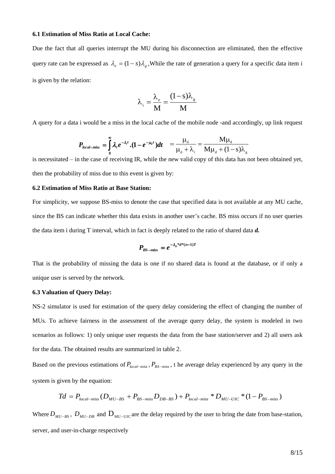#### **6.1 Estimation of Miss Ratio at Local Cache:**

Due the fact that all queries interrupt the MU during his disconnection are eliminated, then the effective query rate can be expressed as  $\lambda_e = (1-s)\lambda_g$ , While the rate of generation a query for a specific data item is is given by the relation:

$$
\lambda_{\rm i} = \frac{\lambda_{\rm e}}{M} = \frac{(1 - s)\lambda_{\rm g}}{M}
$$

A query for a data i would be a miss in the local cache of the mobile node -and accordingly, up link request

$$
P_{\text{local-miss}} = \int_{0}^{\infty} \lambda_i e^{-\lambda_i t} \cdot (1 - e^{-\mu_d t}) dt = \frac{\mu_d}{\mu_d + \lambda_i} = \frac{M \mu_d}{M \mu_d + (1 - s) \lambda_g}
$$

is necessitated – in the case of receiving IR, while the new valid copy of this data has not been obtained yet, then the probability of miss due to this event is given by:

#### **6.2 Estimation of Miss Ratio at Base Station:**

For simplicity, we suppose BS-miss to denote the case that specified data is not available at any MU cache, since the BS can indicate whether this data exists in another user's cache. BS miss occurs if no user queries the data item i during T interval, which in fact is deeply related to the ratio of shared data *d.*

$$
P_{BS-miss} = e^{-\lambda_g * d*(n-1)T}
$$

That is the probability of missing the data is one if no shared data is found at the database, or if only a unique user is served by the network.

#### **6.3 Valuation of Query Delay:**

NS-2 simulator is used for estimation of the query delay considering the effect of changing the number of MUs. To achieve fairness in the assessment of the average query delay, the system is modeled in two scenarios as follows: 1) only unique user requests the data from the base station/server and 2) all users ask for the data. The obtained results are summarized in table 2. ated – in the case of receiving IR, while the new valid copy of this data has not been obta<br>ated – in the case of receiving IR, while the new valid copy of this data has not been obta<br>coholidity of miss due to this event

Based on the previous estimations of  $P_{local-miss}$ ,  $P_{BS-miss}$ , t he average delay experienced by any query in the system is given by the equation:

$$
Td = P_{local-miss}(D_{MU-BS} + P_{BS-miss}D_{DB-BS}) + P_{local-miss} * D_{MU-UC} * (1 - P_{BS-miss})
$$

Where  $D_{_{MU-BS}}$ ,  $D_{_{MU-DB}}$  and  $D_{_{MU-UC}}$  are the delay required by the user to bring the date from base-station, server, and user-in-charge respectively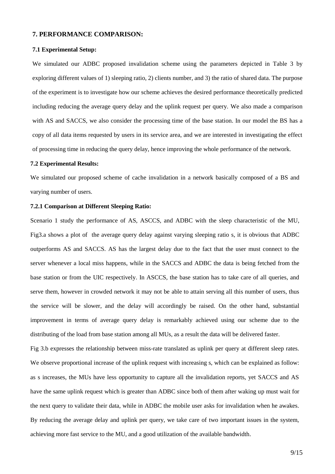#### **7. PERFORMANCE COMPARISON:**

#### **7.1 Experimental Setup:**

We simulated our ADBC proposed invalidation scheme using the parameters depicted in Table 3 by exploring different values of 1) sleeping ratio, 2) clients number, and 3) the ratio of shared data. The purpose of the experiment is to investigate how our scheme achieves the desired performance theoretically predicted including reducing the average query delay and the uplink request per query. We also made a comparison with AS and SACCS, we also consider the processing time of the base station. In our model the BS has a copy of all data items requested by users in its service area, and we are interested in investigating the effect of processing time in reducing the query delay, hence improving the whole performance of the network.

#### **7.2 Experimental Results:**

We simulated our proposed scheme of cache invalidation in a network basically composed of a BS and varying number of users.

## **7.2.1 Comparison at Different Sleeping Ratio:**

Scenario 1 study the performance of AS, ASCCS, and ADBC with the sleep characteristic of the MU, Fig3.a shows a plot of the average query delay against varying sleeping ratio s, it is obvious that ADBC outperforms AS and SACCS. AS has the largest delay due to the fact that the user must connect to the server whenever a local miss happens, while in the SACCS and ADBC the data is being fetched from the base station or from the UIC respectively. In ASCCS, the base station has to take care of all queries, and serve them, however in crowded network it may not be able to attain serving all this number of users, thus the service will be slower, and the delay will accordingly be raised. On the other hand, substantial improvement in terms of average query delay is remarkably achieved using our scheme due to the distributing of the load from base station among all MUs, as a result the data will be delivered faster.

Fig 3.b expresses the relationship between miss-rate translated as uplink per query at different sleep rates. We observe proportional increase of the uplink request with increasing s, which can be explained as follow: as s increases, the MUs have less opportunity to capture all the invalidation reports, yet SACCS and AS have the same uplink request which is greater than ADBC since both of them after waking up must wait for the next query to validate their data, while in ADBC the mobile user asks for invalidation when he awakes. By reducing the average delay and uplink per query, we take care of two important issues in the system, achieving more fast service to the MU, and a good utilization of the available bandwidth.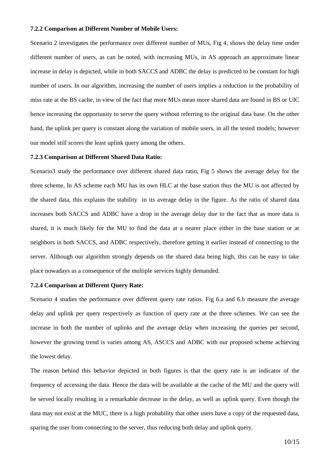#### **7.2.2 Comparison at Different Number of Mobile Users:**

Scenario 2 investigates the performance over different number of MUs, Fig 4, shows the delay time under different number of users, as can be noted, with increasing MUs, in AS approach an approximate linear increase in delay is depicted, while in both SACCS and ADBC the delay is predicted to be constant for high number of users. In our algorithm, increasing the number of users implies a reduction in the probability of miss rate at the BS cache, in view of the fact that more MUs mean more shared data are found in BS or UIC hence increasing the opportunity to serve the query without referring to the original data base. On the other hand, the uplink per query is constant along the variation of mobile users, in all the tested models; however our model still scores the least uplink query among the others.

#### **7.2.3 Comparison at Different Shared Data Ratio:**

Scenario3 study the performance over different shared data ratio, Fig 5 shows the average delay for the three scheme, In AS scheme each MU has its own HLC at the base station thus the MU is not affected by the shared data, this explains the stability in its average delay in the figure. As the ratio of shared data increases both SACCS and ADBC have a drop in the average delay due to the fact that as more data is shared, it is much likely for the MU to find the data at a nearer place either in the base station or at neighbors in both SACCS, and ADBC respectively, therefore getting it earlier instead of connecting to the server. Although our algorithm strongly depends on the shared data being high, this can be easy to take place nowadays as a consequence of the multiple services highly demanded.

#### **7.2.4 Comparison at Different Query Rate:**

Scenario 4 studies the performance over different query rate ratios. Fig 6.a and 6.b measure the average delay and uplink per query respectively as function of query rate at the three schemes. We can see the increase in both the number of uplinks and the average delay when increasing the queries per second, however the growing trend is varies among AS, ASCCS and ADBC with our proposed scheme achieving the lowest delay.

The reason behind this behavior depicted in both figures is that the query rate is an indicator of the frequency of accessing the data. Hence the data will be available at the cache of the MU and the query will be served locally resulting in a remarkable decrease in the delay, as well as uplink query. Even though the data may not exist at the MUC, there is a high probability that other users have a copy of the requested data, sparing the user from connecting to the server, thus reducing both delay and uplink query.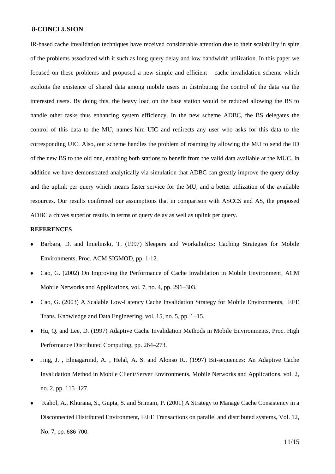## **8-CONCLUSION**

IR-based cache invalidation techniques have received considerable attention due to their scalability in spite of the problems associated with it such as long query delay and low bandwidth utilization. In this paper we focused on these problems and proposed a new simple and efficient cache invalidation scheme which exploits the existence of shared data among mobile users in distributing the control of the data via the interested users. By doing this, the heavy load on the base station would be reduced allowing the BS to handle other tasks thus enhancing system efficiency. In the new scheme ADBC, the BS delegates the control of this data to the MU, names him UIC and redirects any user who asks for this data to the corresponding UIC. Also, our scheme handles the problem of roaming by allowing the MU to send the ID of the new BS to the old one, enabling both stations to benefit from the valid data available at the MUC. In addition we have demonstrated analytically via simulation that ADBC can greatly improve the query delay and the uplink per query which means faster service for the MU, and a better utilization of the available resources. Our results confirmed our assumptions that in comparison with ASCCS and AS, the proposed ADBC a chives superior results in terms of query delay as well as uplink per query.

## **REFERENCES**

- Barbara, D. and lmielinski, T. (1997) Sleepers and Workaholics: Caching Strategies for Mobile Environments, Proc. ACM SIGMOD, pp. 1-12.
- Cao, G. (2002) On Improving the Performance of Cache Invalidation in Mobile Environment, ACM Mobile Networks and Applications, vol. 7, no. 4, pp. 291–303.
- Cao, G. (2003) A Scalable Low-Latency Cache Invalidation Strategy for Mobile Environments, IEEE Trans. Knowledge and Data Engineering, vol. 15, no. 5, pp. 1–15.
- Hu, Q. and Lee, D. (1997) Adaptive Cache Invalidation Methods in Mobile Environments, Proc. High Performance Distributed Computing, pp. 264–273.
- Jing, J. , Elmagarmid, A. , Helal, A. S. and Alonso R., (1997) Bit-sequences: An Adaptive Cache Invalidation Method in Mobile Client/Server Environments, Mobile Networks and Applications, vol. 2, no. 2, pp. 115–127.
- Kahol, A., Khurana, S., Gupta, S. and Srimani, P. (2001) A Strategy to Manage Cache Consistency in a Disconnected Distributed Environment, IEEE Transactions on parallel and distributed systems, Vol. 12, No. 7, pp. 686-700.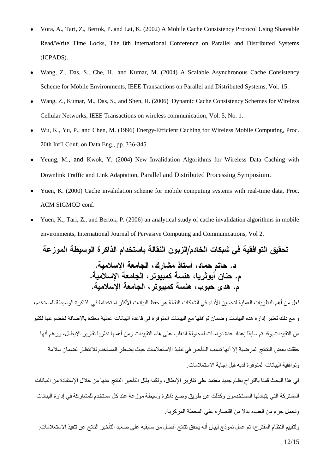- [Vora,](http://search3.computer.org/search/results?action=authorsearch&resultsPerPage=50&queryOption1=DC_CREATOR&sortOrder=descending&queryText1=Abhinav%20Vora) A., [Tari,](http://search3.computer.org/search/results?action=authorsearch&resultsPerPage=50&queryOption1=DC_CREATOR&sortOrder=descending&queryText1=Zahir%20Tari) Z., [Bertok,](http://search3.computer.org/search/results?action=authorsearch&resultsPerPage=50&queryOption1=DC_CREATOR&sortOrder=descending&queryText1=Peter%20Bertok) P. and [Lai,](http://search3.computer.org/search/results?action=authorsearch&resultsPerPage=50&queryOption1=DC_CREATOR&sortOrder=descending&queryText1=Kwong%20Lai) K. (2002) A Mobile Cache Consistency Protocol Using Shareable Read/Write Time Locks, The 8th International Conference on Parallel and Distributed Systems (ICPADS).
- Wang, Z., Das, S., Che, H., and Kumar, M. (2004) A Scalable Asynchronous Cache Consistency Scheme for Mobile Environments, IEEE Transactions on Parallel and Distributed Systems, Vol. 15.
- Wang, Z., Kumar, M., Das, S., and Shen, H. (2006) Dynamic Cache Consistency Schemes for Wireless Cellular Networks, IEEE Transactions on wireless communication, Vol. 5, No. 1.
- Wu, K., Yu, P., and Chen, M. (1996) Energy-Efficient Caching for Wireless Mobile Computing, Proc. 20th Int'l Conf. on Data Eng., pp. 336-345.
- Yeung, M., and Kwok, Y. (2004) New Invalidation Algorithms for Wireless Data Caching with Downlink Traffic and Link Adaptation[, Parallel and Distributed Processing Symposium.](http://ieeexplore.ieee.org/xpl/RecentCon.jsp?punumber=9132)
- Yuen, K. (2000) Cache invalidation scheme for mobile computing systems with real-time data, Proc. ACM SIGMOD conf.
- Yuen, K., Tari, Z., and Bertok, P. (2006) an analytical study of cache invalidation algorithms in mobile environments, International Journal of Pervasive Computing and Communications, Vol 2.

تحقيق التوافقية في شبكات الخادم/الزبون النقالة باستخدام الذاكرة الوسيطة الموزعة د. حاتم حماد، أستاذ مشارك، الجامعة الإسلامية. م. حنان أبوثريا، هنسة كمبيوتر، الجامعة الإسلامية. م. هدي حبوب، هنسة كمبيوتر، الجامعة الاسلامية.

لعل من أهم النظريات العملية لتحسين الأداء في الشبكات النقالة هو حفظ البيانات الأكثر استخداماً في الذاكرة الوسيطة للمستخدم، و مع ذلك تعتبر إدارة هذه البيانات وضمان توافقها مع البيانات المتوفرة في قاعدة البيانات عملية معقدة بالإضافة لخضوعها لكثير من التقييدات وقد تم سابقاً إعداد عدة دراسات لمحاولة التغلب على هذه التقييدات ومن أهمها نظريا تقارير الإبطال، ورغم أنها حققت بعض النتائج المرضية إلا أنها تسبب الـتأخير في تنفيذ الاستعلامات حيث يضطر المستخدم للانتظار لضمان سلامة وِ نَوِ افقية البيانات المتوفر ة لديه قبل إجابة الاستعلامات.

في هذا البحث قمنا باقتراح نظام جديد معتمد على تقارير الإبطال، ولكنه يقلل التأخير الناتج عنها من خلال الإستفادة من البيانات المشتركة التي يتبادلها المستخدمون وكذلك عن طريق وضع ذاكرة وسيطة موزعة عند كل مستخدم للمشاركة في إدارة الببانات وتحمل جزء من العبء بدلاً من اقتصارِ ه على المحطة المركز ية.

12/15 ولتقييم النظام المقترح، تم عمل نموذج لبيان أنه يحقق نتائج أفضل من سابقيه على صعيد التأخير الناتج عن تنفيذ الاستعلامات.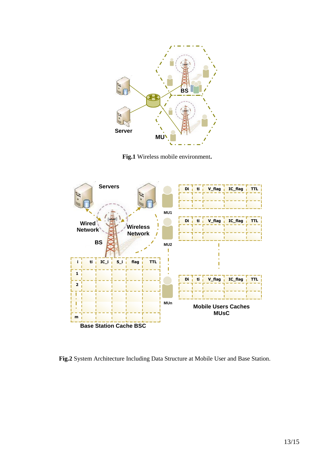

 **Fig.1** Wireless mobile environment**.**



**Fig.2** System Architecture Including Data Structure at Mobile User and Base Station.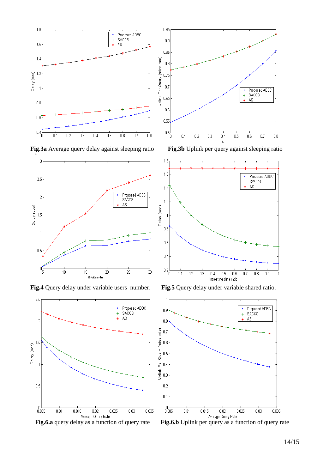

**Fig.3a** Average query delay against sleeping ratio **Fig.3b** Uplink per query against sleeping ratio









**Fig.4** Query delay under variable users number. **Fig.5** Query delay under variable shared ratio.



14/15